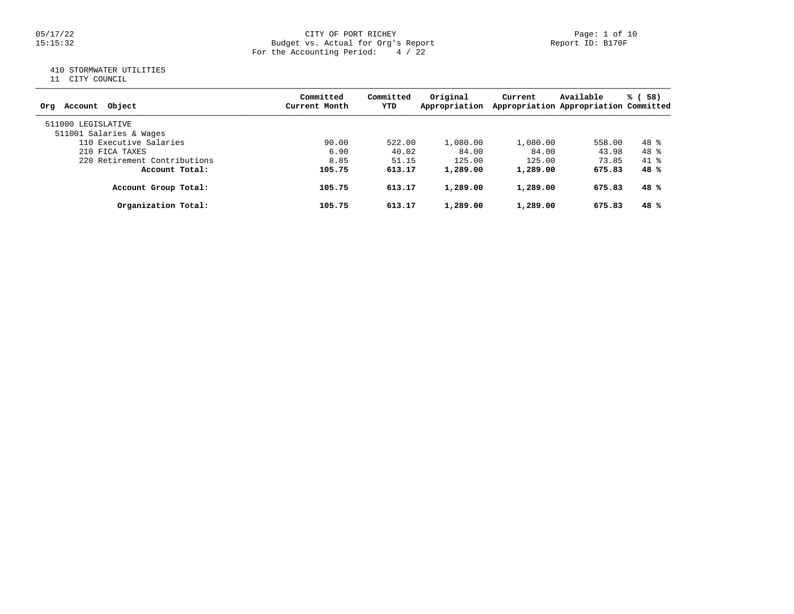#### 05/17/22 Page: 1 of 10 15:15:32 Budget vs. Actual for Org's Report Report ID: B170F For the Accounting Period: 4 / 22

# 410 STORMWATER UTILITIES

11 CITY COUNCIL

| Account Object<br>Ora        | Committed<br>Current Month | Committed<br>YTD | Original<br>Appropriation | Current  | Available<br>Appropriation Appropriation Committed | % (58)   |
|------------------------------|----------------------------|------------------|---------------------------|----------|----------------------------------------------------|----------|
| 511000 LEGISLATIVE           |                            |                  |                           |          |                                                    |          |
| 511001 Salaries & Wages      |                            |                  |                           |          |                                                    |          |
| 110 Executive Salaries       | 90.00                      | 522.00           | 1,080.00                  | 1,080.00 | 558.00                                             | $48*$    |
| 210 FICA TAXES               | 6.90                       | 40.02            | 84.00                     | 84.00    | 43.98                                              | 48 %     |
| 220 Retirement Contributions | 8.85                       | 51.15            | 125.00                    | 125.00   | 73.85                                              | $41$ $%$ |
| Account Total:               | 105.75                     | 613.17           | 1,289.00                  | 1,289.00 | 675.83                                             | 48%      |
| Account Group Total:         | 105.75                     | 613.17           | 1,289.00                  | 1,289.00 | 675.83                                             | 48%      |
| Organization Total:          | 105.75                     | 613.17           | 1,289.00                  | 1,289.00 | 675.83                                             | 48%      |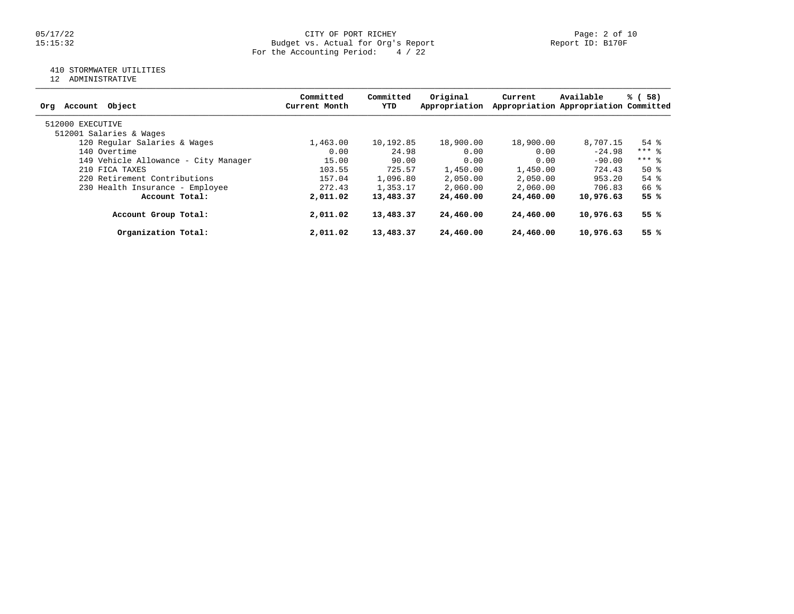#### 05/17/22 CITY OF PORT RICHEY Page: 2 of 10 15:15:32 Budget vs. Actual for Org's Report Report ID: B170F For the Accounting Period: 4 / 22

# 410 STORMWATER UTILITIES

12 ADMINISTRATIVE

| Object<br>Account<br>Orq             | Committed<br>Current Month | Committed<br>YTD | Original<br>Appropriation | Current   | Available<br>Appropriation Appropriation Committed | % (58)             |
|--------------------------------------|----------------------------|------------------|---------------------------|-----------|----------------------------------------------------|--------------------|
| 512000 EXECUTIVE                     |                            |                  |                           |           |                                                    |                    |
| 512001 Salaries & Wages              |                            |                  |                           |           |                                                    |                    |
| 120 Regular Salaries & Wages         | 1,463.00                   | 10,192.85        | 18,900.00                 | 18,900.00 | 8,707.15                                           | 54 %               |
| 140 Overtime                         | 0.00                       | 24.98            | 0.00                      | 0.00      | $-24.98$                                           | $***$ $%$          |
| 149 Vehicle Allowance - City Manager | 15.00                      | 90.00            | 0.00                      | 0.00      | $-90.00$                                           | $***$ 8            |
| 210 FICA TAXES                       | 103.55                     | 725.57           | 1,450.00                  | 1,450.00  | 724.43                                             | $50*$              |
| 220 Retirement Contributions         | 157.04                     | 1,096.80         | 2,050.00                  | 2,050.00  | 953.20                                             | $54$ $\frac{6}{3}$ |
| 230 Health Insurance - Employee      | 272.43                     | 1,353.17         | 2,060.00                  | 2,060.00  | 706.83                                             | 66 %               |
| Account Total:                       | 2,011.02                   | 13,483.37        | 24,460.00                 | 24,460.00 | 10,976.63                                          | 55 %               |
| Account Group Total:                 | 2,011.02                   | 13,483.37        | 24,460.00                 | 24,460.00 | 10,976.63                                          | 55 %               |
| Organization Total:                  | 2,011.02                   | 13,483.37        | 24,460.00                 | 24,460.00 | 10,976.63                                          | 55 %               |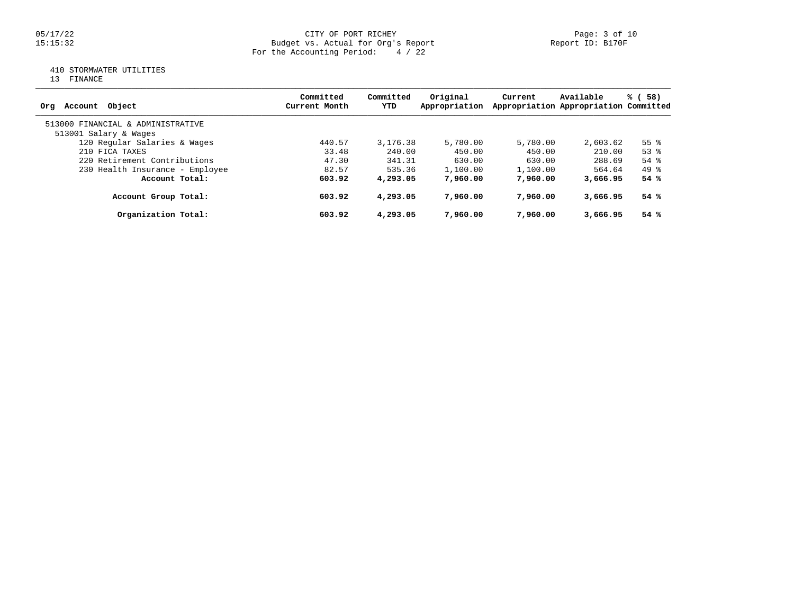#### 05/17/22 Page: 3 of 10 15:15:32 Budget vs. Actual for Org's Report Report ID: B170F For the Accounting Period: 4 / 22

# 410 STORMWATER UTILITIES

13 FINANCE

| Obiect<br>Account<br>Ora                                   | Committed<br>Current Month | Committed<br>YTD | Original<br>Appropriation | Current  | Available<br>Appropriation Appropriation Committed | % (<br>58)         |
|------------------------------------------------------------|----------------------------|------------------|---------------------------|----------|----------------------------------------------------|--------------------|
| 513000 FINANCIAL & ADMINISTRATIVE<br>513001 Salary & Wages |                            |                  |                           |          |                                                    |                    |
| 120 Regular Salaries & Wages                               | 440.57                     | 3,176.38         | 5,780.00                  | 5,780.00 | 2,603.62                                           | $55$ $\frac{6}{3}$ |
| 210 FICA TAXES                                             | 33.48                      | 240.00           | 450.00                    | 450.00   | 210.00                                             | $53$ $%$           |
| 220 Retirement Contributions                               | 47.30                      | 341.31           | 630.00                    | 630.00   | 288.69                                             | $54$ $\frac{6}{3}$ |
| 230 Health Insurance - Employee                            | 82.57                      | 535.36           | 1,100.00                  | 1,100.00 | 564.64                                             | 49 %               |
| Account Total:                                             | 603.92                     | 4,293.05         | 7,960,00                  | 7,960,00 | 3,666.95                                           | 54%                |
| Account Group Total:                                       | 603.92                     | 4,293.05         | 7,960,00                  | 7,960,00 | 3,666.95                                           | 54%                |
| Organization Total:                                        | 603.92                     | 4,293.05         | 7,960.00                  | 7,960,00 | 3,666.95                                           | 54%                |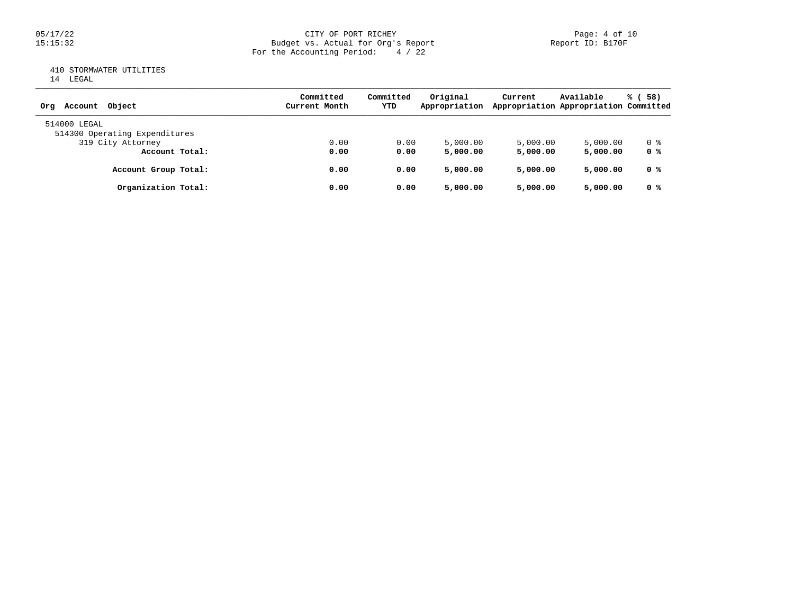# 05/17/22 CITY OF PORT RICHEY<br>15:15:32 Budget vs. Actual for Org's Report Page: 4 Of 10 Budget vs. Actual for Org's Report For the Accounting Period: 4 / 22

#### 410 STORMWATER UTILITIES 14 LEGAL

| <b>LIPATALI</b> |
|-----------------|
|                 |

| Obiect<br>Account<br>Ora                      | Committed<br>Current Month | Committed<br>YTD | Original<br>Appropriation | Current  | Available<br>Appropriation Appropriation Committed | -58)<br>% (    |
|-----------------------------------------------|----------------------------|------------------|---------------------------|----------|----------------------------------------------------|----------------|
| 514000 LEGAL<br>514300 Operating Expenditures |                            |                  |                           |          |                                                    |                |
| 319 City Attorney                             | 0.00                       | 0.00             | 5,000.00                  | 5,000.00 | 5,000.00                                           | 0 %            |
| Account Total:                                | 0.00                       | 0.00             | 5,000.00                  | 5,000.00 | 5,000.00                                           | 0 <sup>8</sup> |
| Account Group Total:                          | 0.00                       | 0.00             | 5,000.00                  | 5,000.00 | 5,000,00                                           | 0 <sup>8</sup> |
| Organization Total:                           | 0.00                       | 0.00             | 5,000.00                  | 5,000.00 | 5,000,00                                           | 0 <sup>8</sup> |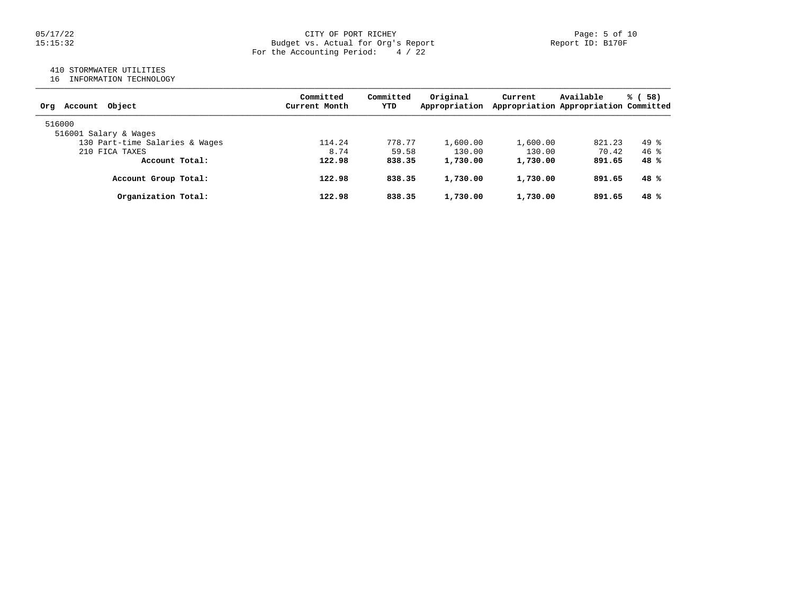#### 05/17/22 Page: 5 of 10 15:15:32 Budget vs. Actual for Org's Report Report ID: B170F For the Accounting Period: 4 / 22

# 410 STORMWATER UTILITIES

16 INFORMATION TECHNOLOGY

| Account Object<br>Orq          | Committed<br>Current Month | Committed<br>YTD | Original<br>Appropriation | Current  | Available<br>Appropriation Appropriation Committed | % (58) |
|--------------------------------|----------------------------|------------------|---------------------------|----------|----------------------------------------------------|--------|
| 516000                         |                            |                  |                           |          |                                                    |        |
| 516001 Salary & Wages          |                            |                  |                           |          |                                                    |        |
| 130 Part-time Salaries & Wages | 114.24                     | 778.77           | 1,600.00                  | 1,600.00 | 821.23                                             | $49*$  |
| 210 FICA TAXES                 | 8.74                       | 59.58            | 130.00                    | 130.00   | 70.42                                              | $46*$  |
| Account Total:                 | 122.98                     | 838.35           | 1,730.00                  | 1,730.00 | 891.65                                             | 48%    |
| Account Group Total:           | 122.98                     | 838.35           | 1,730.00                  | 1,730.00 | 891.65                                             | 48%    |
| Organization Total:            | 122.98                     | 838.35           | 1,730.00                  | 1,730.00 | 891.65                                             | 48%    |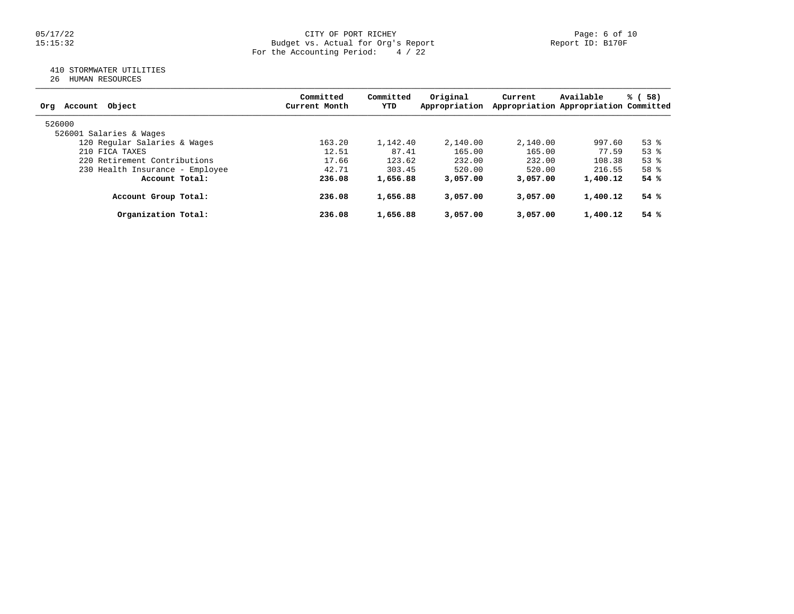#### 05/17/22 CITY OF PORT RICHEY Page: 6 of 10 15:15:32 Budget vs. Actual for Org's Report Report ID: B170F For the Accounting Period: 4 / 22

# 410 STORMWATER UTILITIES

26 HUMAN RESOURCES

| Account Object<br>Org           | Committed<br>Current Month | Committed<br>YTD | Original<br>Appropriation | Current  | Available<br>Appropriation Appropriation Committed | % (<br>58)         |
|---------------------------------|----------------------------|------------------|---------------------------|----------|----------------------------------------------------|--------------------|
| 526000                          |                            |                  |                           |          |                                                    |                    |
| 526001 Salaries & Wages         |                            |                  |                           |          |                                                    |                    |
| 120 Regular Salaries & Wages    | 163.20                     | 1,142.40         | 2,140.00                  | 2,140.00 | 997.60                                             | $53$ $\frac{6}{3}$ |
| 210 FICA TAXES                  | 12.51                      | 87.41            | 165.00                    | 165.00   | 77.59                                              | $53$ $%$           |
| 220 Retirement Contributions    | 17.66                      | 123.62           | 232.00                    | 232.00   | 108.38                                             | $53$ $%$           |
| 230 Health Insurance - Employee | 42.71                      | 303.45           | 520.00                    | 520.00   | 216.55                                             | 58 <sup>8</sup>    |
| Account Total:                  | 236.08                     | 1,656.88         | 3,057.00                  | 3,057,00 | 1,400.12                                           | 54%                |
| Account Group Total:            | 236.08                     | 1,656.88         | 3,057.00                  | 3,057.00 | 1,400.12                                           | 54%                |
| Organization Total:             | 236.08                     | 1,656.88         | 3,057.00                  | 3,057.00 | 1,400.12                                           | 54%                |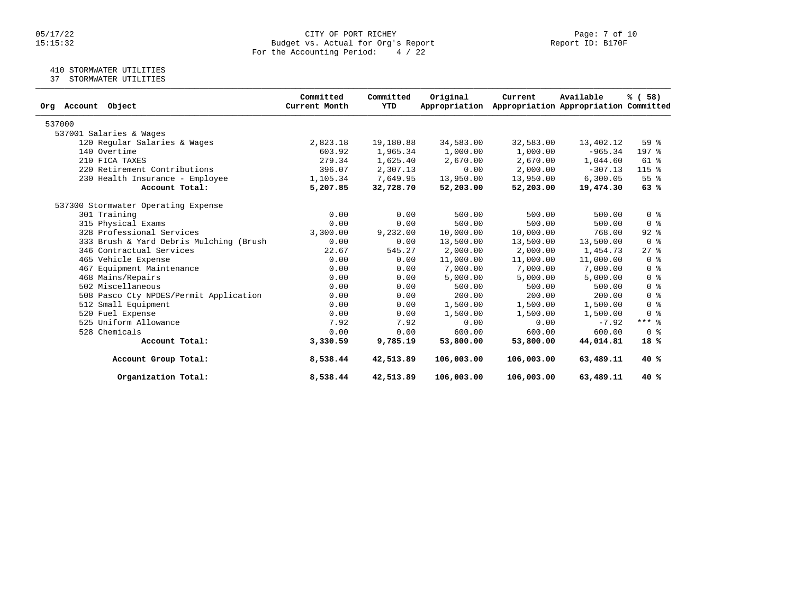#### 05/17/22 CITY OF PORT RICHEY Page: 7 of 10 15:15:32 Budget vs. Actual for Org's Report Report ID: B170F For the Accounting Period: 4 / 22

# 410 STORMWATER UTILITIES

37 STORMWATER UTILITIES

| Object<br>Org Account                   | Committed<br>Current Month | Committed<br>YTD | Original<br>Appropriation | Current    | Available<br>Appropriation Appropriation Committed | % (58)                             |
|-----------------------------------------|----------------------------|------------------|---------------------------|------------|----------------------------------------------------|------------------------------------|
|                                         |                            |                  |                           |            |                                                    |                                    |
| 537000                                  |                            |                  |                           |            |                                                    |                                    |
| 537001 Salaries & Wages                 |                            |                  |                           |            |                                                    |                                    |
| 120 Regular Salaries & Wages            | 2,823.18                   | 19,180.88        | 34,583.00                 | 32,583.00  | 13,402.12                                          | 59%                                |
| 140 Overtime                            | 603.92                     | 1,965.34         | 1,000.00                  | 1,000.00   | $-965.34$                                          | 197 %                              |
| 210 FICA TAXES                          | 279.34                     | 1,625.40         | 2,670.00                  | 2,670.00   | 1,044.60                                           | $61$ %                             |
| 220 Retirement Contributions            | 396.07                     | 2,307.13         | 0.00                      | 2,000.00   | $-307.13$                                          | 115 %                              |
| 230 Health Insurance - Employee         | 1,105.34                   | 7,649.95         | 13,950.00                 | 13,950.00  | 6, 300.05                                          | 55 %                               |
| Account Total:                          | 5,207.85                   | 32,728.70        | 52,203.00                 | 52,203.00  | 19,474.30                                          | 63%                                |
| 537300 Stormwater Operating Expense     |                            |                  |                           |            |                                                    |                                    |
| 301 Training                            | 0.00                       | 0.00             | 500.00                    | 500.00     | 500.00                                             | $0 \text{ }$ $\text{ }$ $\text{ }$ |
| 315 Physical Exams                      | 0.00                       | 0.00             | 500.00                    | 500.00     | 500.00                                             | 0 <sup>8</sup>                     |
| 328 Professional Services               | 3,300.00                   | 9,232.00         | 10,000.00                 | 10,000.00  | 768.00                                             | $92$ $%$                           |
| 333 Brush & Yard Debris Mulching (Brush | 0.00                       | 0.00             | 13,500.00                 | 13,500.00  | 13,500.00                                          | 0 <sup>8</sup>                     |
| 346 Contractual Services                | 22.67                      | 545.27           | 2,000.00                  | 2,000.00   | 1,454.73                                           | $27$ $\frac{6}{5}$                 |
| 465 Vehicle Expense                     | 0.00                       | 0.00             | 11,000.00                 | 11,000.00  | 11,000.00                                          | $0 \text{ }$ $\text{ }$ $\text{ }$ |
| 467 Equipment Maintenance               | 0.00                       | 0.00             | 7,000.00                  | 7,000.00   | 7,000.00                                           | 0 <sup>8</sup>                     |
| 468 Mains/Repairs                       | 0.00                       | 0.00             | 5,000.00                  | 5,000.00   | 5,000.00                                           | 0 <sup>8</sup>                     |
| 502 Miscellaneous                       | 0.00                       | 0.00             | 500.00                    | 500.00     | 500.00                                             | 0 <sup>8</sup>                     |
| 508 Pasco Cty NPDES/Permit Application  | 0.00                       | 0.00             | 200.00                    | 200.00     | 200.00                                             | 0 <sup>8</sup>                     |
| 512 Small Equipment                     | 0.00                       | 0.00             | 1,500.00                  | 1,500.00   | 1,500.00                                           | 0 <sup>8</sup>                     |
| 520 Fuel Expense                        | 0.00                       | 0.00             | 1,500.00                  | 1,500.00   | 1,500.00                                           | $0 \text{ }$ $\text{ }$ $\text{ }$ |
| 525 Uniform Allowance                   | 7.92                       | 7.92             | 0.00                      | 0.00       | $-7.92$                                            | $***$ $%$                          |
| 528 Chemicals                           | 0.00                       | 0.00             | 600.00                    | 600.00     | 600.00                                             | $0 \text{ }$ $\text{ }$ $\text{ }$ |
| Account Total:                          | 3,330.59                   | 9,785.19         | 53,800.00                 | 53,800.00  | 44,014.81                                          | 18 %                               |
| Account Group Total:                    | 8,538.44                   | 42,513.89        | 106,003.00                | 106,003.00 | 63,489.11                                          | 40%                                |
| Organization Total:                     | 8,538.44                   | 42,513.89        | 106,003.00                | 106,003.00 | 63,489.11                                          | 40 %                               |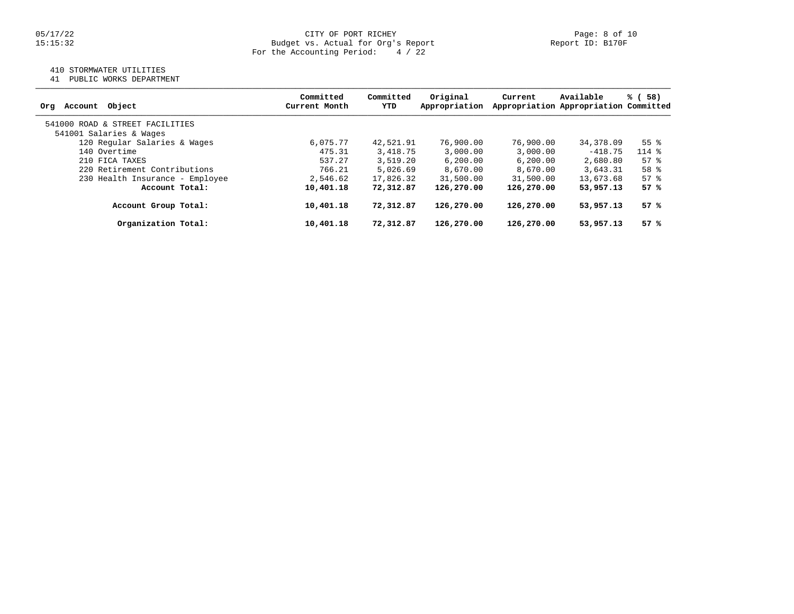#### 05/17/22 CITY OF PORT RICHEY Page: 8 of 10 15:15:32 Budget vs. Actual for Org's Report Report ID: B170F For the Accounting Period: 4 / 22

# 410 STORMWATER UTILITIES

41 PUBLIC WORKS DEPARTMENT

| Object<br>Account<br>Org        | Committed<br>Current Month | Committed<br>YTD | Original<br>Appropriation | Current    | Available<br>Appropriation Appropriation Committed | % (58)             |
|---------------------------------|----------------------------|------------------|---------------------------|------------|----------------------------------------------------|--------------------|
| 541000 ROAD & STREET FACILITIES |                            |                  |                           |            |                                                    |                    |
| 541001 Salaries & Wages         |                            |                  |                           |            |                                                    |                    |
| 120 Regular Salaries & Wages    | 6,075.77                   | 42,521.91        | 76,900.00                 | 76,900.00  | 34, 378, 09                                        | $55$ $\frac{6}{3}$ |
| 140 Overtime                    | 475.31                     | 3,418.75         | 3,000.00                  | 3,000.00   | $-418.75$                                          | $114$ $%$          |
| 210 FICA TAXES                  | 537.27                     | 3,519.20         | 6, 200, 00                | 6,200.00   | 2,680.80                                           | $57$ $\frac{6}{3}$ |
| 220 Retirement Contributions    | 766.21                     | 5,026.69         | 8,670.00                  | 8,670.00   | 3,643.31                                           | 58 %               |
| 230 Health Insurance - Employee | 2,546.62                   | 17,826.32        | 31,500.00                 | 31,500.00  | 13,673.68                                          | $57$ $\frac{6}{3}$ |
| Account Total:                  | 10,401.18                  | 72,312.87        | 126,270.00                | 126,270.00 | 53,957.13                                          | 57 %               |
| Account Group Total:            | 10,401.18                  | 72,312.87        | 126,270.00                | 126,270.00 | 53,957.13                                          | 57 %               |
| Organization Total:             | 10,401.18                  | 72,312.87        | 126,270.00                | 126,270.00 | 53,957.13                                          | 57 %               |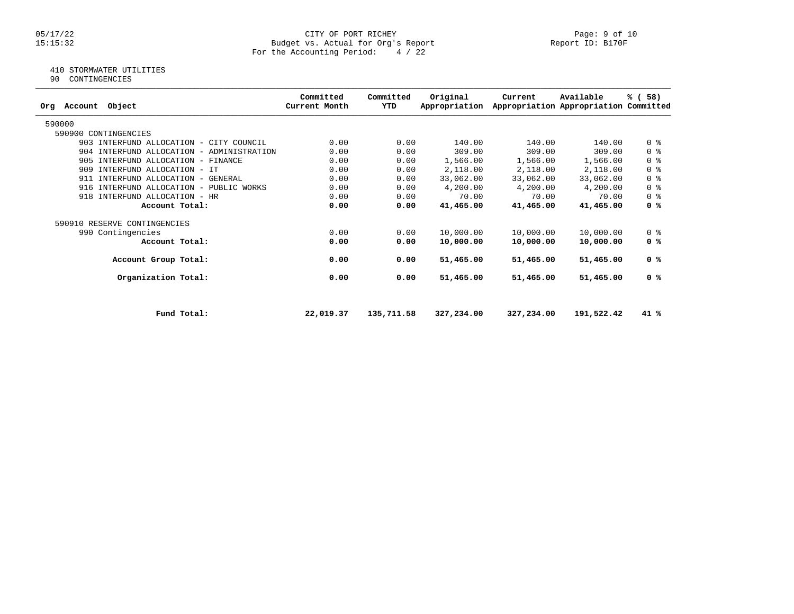#### 05/17/22 CITY OF PORT RICHEY Page: 9 of 10 15:15:32 Budget vs. Actual for Org's Report Report ID: B170F For the Accounting Period: 4 / 22

# 410 STORMWATER UTILITIES

90 CONTINGENCIES

| Object<br>Account<br>Orq                  | Committed<br>Current Month | Committed<br>YTD | Original<br>Appropriation | Current    | Available<br>Appropriation Appropriation Committed | % (58)                             |
|-------------------------------------------|----------------------------|------------------|---------------------------|------------|----------------------------------------------------|------------------------------------|
| 590000                                    |                            |                  |                           |            |                                                    |                                    |
| 590900 CONTINGENCIES                      |                            |                  |                           |            |                                                    |                                    |
| 903 INTERFUND ALLOCATION - CITY COUNCIL   | 0.00                       | 0.00             | 140.00                    | 140.00     | 140.00                                             | 0 <sup>8</sup>                     |
| 904 INTERFUND ALLOCATION - ADMINISTRATION | 0.00                       | 0.00             | 309.00                    | 309.00     | 309.00                                             | 0 <sup>8</sup>                     |
| 905 INTERFUND ALLOCATION - FINANCE        | 0.00                       | 0.00             | 1,566.00                  | 1,566.00   | 1,566.00                                           | $0 \text{ }$ $\text{ }$ $\text{ }$ |
| 909 INTERFUND ALLOCATION - IT             | 0.00                       | 0.00             | 2,118.00                  | 2,118.00   | 2,118.00                                           | 0 <sup>8</sup>                     |
| 911 INTERFUND ALLOCATION - GENERAL        | 0.00                       | 0.00             | 33,062.00                 | 33,062.00  | 33,062.00                                          | 0 <sup>8</sup>                     |
| 916 INTERFUND ALLOCATION - PUBLIC WORKS   | 0.00                       | 0.00             | 4,200.00                  | 4,200.00   | 4,200.00                                           | 0 <sup>8</sup>                     |
| INTERFUND ALLOCATION - HR<br>918          | 0.00                       | 0.00             | 70.00                     | 70.00      | 70.00                                              | 0 <sup>8</sup>                     |
| Account Total:                            | 0.00                       | 0.00             | 41,465.00                 | 41,465.00  | 41,465.00                                          | 0 <sup>8</sup>                     |
| 590910 RESERVE CONTINGENCIES              |                            |                  |                           |            |                                                    |                                    |
| 990 Contingencies                         | 0.00                       | 0.00             | 10,000.00                 | 10,000.00  | 10,000.00                                          | 0 <sub>8</sub>                     |
| Account Total:                            | 0.00                       | 0.00             | 10,000.00                 | 10,000.00  | 10,000.00                                          | 0 <sup>8</sup>                     |
| Account Group Total:                      | 0.00                       | 0.00             | 51,465.00                 | 51,465.00  | 51,465.00                                          | 0 %                                |
| Organization Total:                       | 0.00                       | 0.00             | 51,465.00                 | 51,465.00  | 51,465.00                                          | 0 <sup>8</sup>                     |
|                                           |                            |                  |                           |            |                                                    |                                    |
| Fund Total:                               | 22,019.37                  | 135,711.58       | 327,234.00                | 327,234.00 | 191,522.42                                         | 41 %                               |